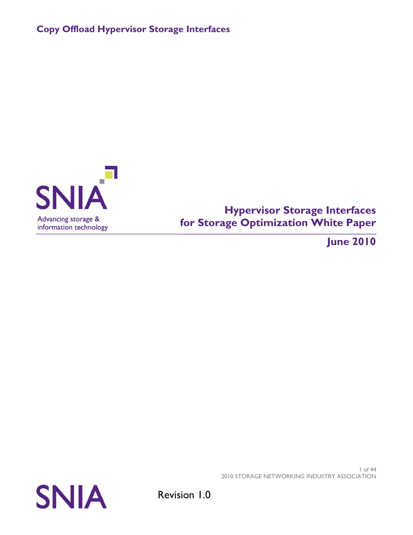

# **Hypervisor Storage Interfaces for Storage Optimization White Paper**

**June 2010**

1 of 44 2010 STORAGE NETWORKING INDUSTRY ASSOCIATION

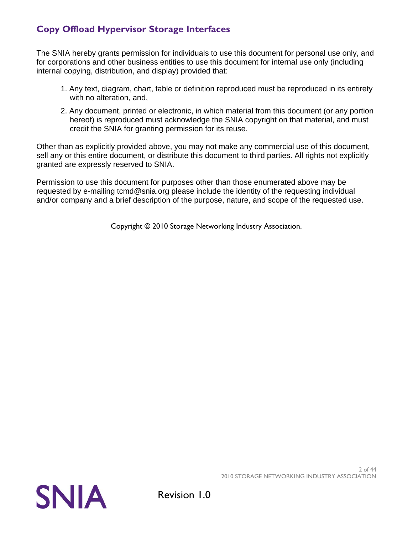The SNIA hereby grants permission for individuals to use this document for personal use only, and for corporations and other business entities to use this document for internal use only (including internal copying, distribution, and display) provided that:

- 1. Any text, diagram, chart, table or definition reproduced must be reproduced in its entirety with no alteration, and,
- 2. Any document, printed or electronic, in which material from this document (or any portion hereof) is reproduced must acknowledge the SNIA copyright on that material, and must credit the SNIA for granting permission for its reuse.

Other than as explicitly provided above, you may not make any commercial use of this document, sell any or this entire document, or distribute this document to third parties. All rights not explicitly granted are expressly reserved to SNIA.

Permission to use this document for purposes other than those enumerated above may be requested by e-mailing tcmd@snia.org please include the identity of the requesting individual and/or company and a brief description of the purpose, nature, and scope of the requested use.

Copyright © 2010 Storage Networking Industry Association.

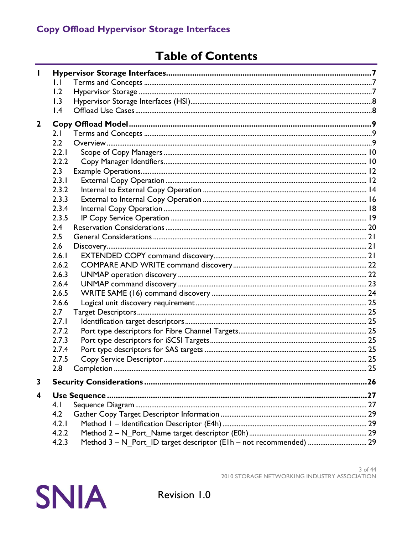# **Table of Contents**

| L            |                  |  |     |  |  |  |  |
|--------------|------------------|--|-----|--|--|--|--|
|              | $\mathsf{L}$     |  |     |  |  |  |  |
|              | 1.2              |  |     |  |  |  |  |
|              | 1.3              |  |     |  |  |  |  |
|              | $\overline{1.4}$ |  |     |  |  |  |  |
| $\mathbf{2}$ |                  |  |     |  |  |  |  |
|              | 2.1              |  |     |  |  |  |  |
|              | $2.2\phantom{0}$ |  |     |  |  |  |  |
|              | 2.2.1            |  |     |  |  |  |  |
|              | 2.2.2            |  |     |  |  |  |  |
|              | 2.3              |  |     |  |  |  |  |
|              | 2.3.1            |  |     |  |  |  |  |
|              | 2.3.2            |  |     |  |  |  |  |
|              | 2.3.3            |  |     |  |  |  |  |
|              | 2.3.4            |  |     |  |  |  |  |
|              | 2.3.5            |  |     |  |  |  |  |
|              | 2.4              |  |     |  |  |  |  |
|              | 2.5              |  |     |  |  |  |  |
|              | 2.6              |  |     |  |  |  |  |
|              | 2.6.1            |  |     |  |  |  |  |
|              | 2.6.2            |  |     |  |  |  |  |
|              | 2.6.3            |  |     |  |  |  |  |
|              | 2.6.4            |  |     |  |  |  |  |
|              | 2.6.5            |  |     |  |  |  |  |
|              | 2.6.6            |  |     |  |  |  |  |
|              | 2.7              |  |     |  |  |  |  |
|              | 2.7.1            |  |     |  |  |  |  |
|              | 2.7.2            |  |     |  |  |  |  |
|              | 2.7.3            |  |     |  |  |  |  |
|              | 2.7.4            |  |     |  |  |  |  |
|              | 2.7.5            |  |     |  |  |  |  |
|              | 2.8              |  | .25 |  |  |  |  |
| 3            |                  |  |     |  |  |  |  |
| 4            |                  |  |     |  |  |  |  |
|              | 4.1              |  |     |  |  |  |  |
|              | 4.2              |  |     |  |  |  |  |
|              | 4.2.1            |  |     |  |  |  |  |
|              | 4.2.2            |  |     |  |  |  |  |
|              | 4.2.3            |  |     |  |  |  |  |

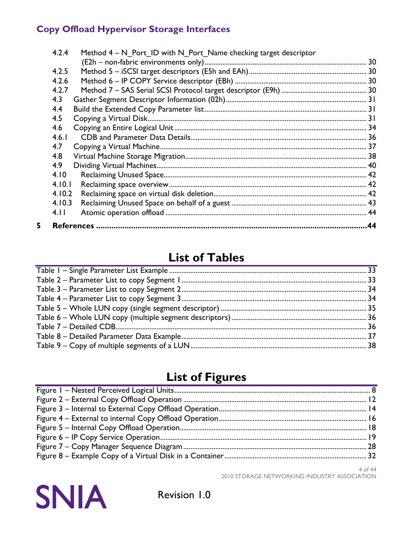| 4.2.4<br>Method $4 - N$ Port ID with N Port Name checking target descriptor |  |
|-----------------------------------------------------------------------------|--|
|                                                                             |  |
| 4.2.5                                                                       |  |
| 4.2.6                                                                       |  |
| 4.2.7                                                                       |  |
| 4.3                                                                         |  |
| 4.4                                                                         |  |
| 4.5                                                                         |  |
| 4.6                                                                         |  |
| 4.6.1                                                                       |  |
| 4.7                                                                         |  |
| 4.8                                                                         |  |
| 4.9                                                                         |  |
| 4.10                                                                        |  |
| 4.10.1                                                                      |  |
| 4.10.2                                                                      |  |
| 4.10.3                                                                      |  |
| 4.11                                                                        |  |
|                                                                             |  |

# **List of Tables**

# **List of Figures**

4 of 44 2010 STORAGE NETWORKING INDUSTRY ASSOCIATION



5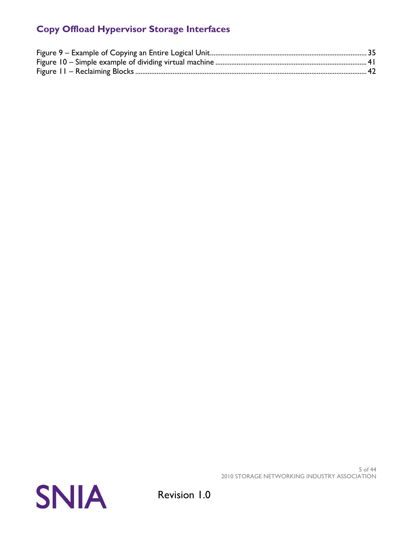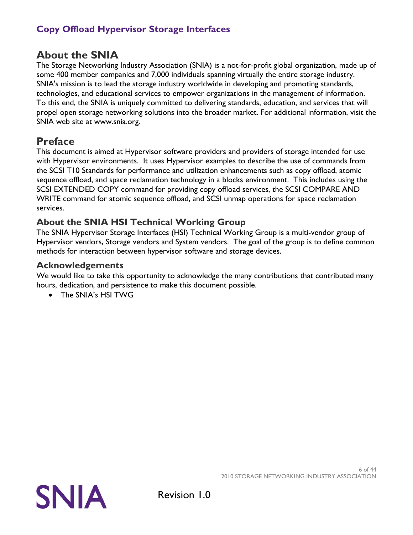# **About the SNIA**

The Storage Networking Industry Association (SNIA) is a not-for-profit global organization, made up of some 400 member companies and 7,000 individuals spanning virtually the entire storage industry. SNIA's mission is to lead the storage industry worldwide in developing and promoting standards, technologies, and educational services to empower organizations in the management of information. To this end, the SNIA is uniquely committed to delivering standards, education, and services that will propel open storage networking solutions into the broader market. For additional information, visit the SNIA web site at www.snia.org.

# **Preface**

This document is aimed at Hypervisor software providers and providers of storage intended for use with Hypervisor environments. It uses Hypervisor examples to describe the use of commands from the SCSI T10 Standards for performance and utilization enhancements such as copy offload, atomic sequence offload, and space reclamation technology in a blocks environment. This includes using the SCSI EXTENDED COPY command for providing copy offload services, the SCSI COMPARE AND WRITE command for atomic sequence offload, and SCSI unmap operations for space reclamation services.

### **About the SNIA HSI Technical Working Group**

The SNIA Hypervisor Storage Interfaces (HSI) Technical Working Group is a multi-vendor group of Hypervisor vendors, Storage vendors and System vendors. The goal of the group is to define common methods for interaction between hypervisor software and storage devices.

### **Acknowledgements**

We would like to take this opportunity to acknowledge the many contributions that contributed many hours, dedication, and persistence to make this document possible.

• The SNIA's HSI TWG



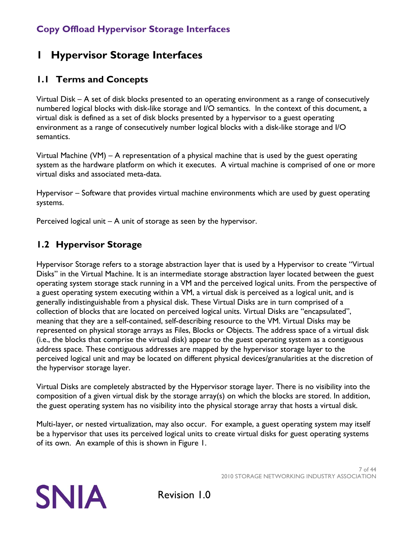# <span id="page-6-0"></span>**1 Hypervisor Storage Interfaces**

### <span id="page-6-1"></span>**1.1 Terms and Concepts**

Virtual Disk – A set of disk blocks presented to an operating environment as a range of consecutively numbered logical blocks with disk-like storage and I/O semantics. In the context of this document, a virtual disk is defined as a set of disk blocks presented by a hypervisor to a guest operating environment as a range of consecutively number logical blocks with a disk-like storage and I/O semantics.

Virtual Machine (VM) – A representation of a physical machine that is used by the guest operating system as the hardware platform on which it executes. A virtual machine is comprised of one or more virtual disks and associated meta-data.

Hypervisor – Software that provides virtual machine environments which are used by guest operating systems.

Perceived logical unit – A unit of storage as seen by the hypervisor.

### <span id="page-6-2"></span>**1.2 Hypervisor Storage**

Hypervisor Storage refers to a storage abstraction layer that is used by a Hypervisor to create "Virtual Disks" in the Virtual Machine. It is an intermediate storage abstraction layer located between the guest operating system storage stack running in a VM and the perceived logical units. From the perspective of a guest operating system executing within a VM, a virtual disk is perceived as a logical unit, and is generally indistinguishable from a physical disk. These Virtual Disks are in turn comprised of a collection of blocks that are located on perceived logical units. Virtual Disks are "encapsulated", meaning that they are a self-contained, self-describing resource to the VM. Virtual Disks may be represented on physical storage arrays as Files, Blocks or Objects. The address space of a virtual disk (i.e., the blocks that comprise the virtual disk) appear to the guest operating system as a contiguous address space. These contiguous addresses are mapped by the hypervisor storage layer to the perceived logical unit and may be located on different physical devices/granularities at the discretion of the hypervisor storage layer.

Virtual Disks are completely abstracted by the Hypervisor storage layer. There is no visibility into the composition of a given virtual disk by the storage array(s) on which the blocks are stored. In addition, the guest operating system has no visibility into the physical storage array that hosts a virtual disk.

Multi-layer, or nested virtualization, may also occur. For example, a guest operating system may itself be a hypervisor that uses its perceived logical units to create virtual disks for guest operating systems of its own. An example of this is shown in [Figure 1.](#page-7-2)

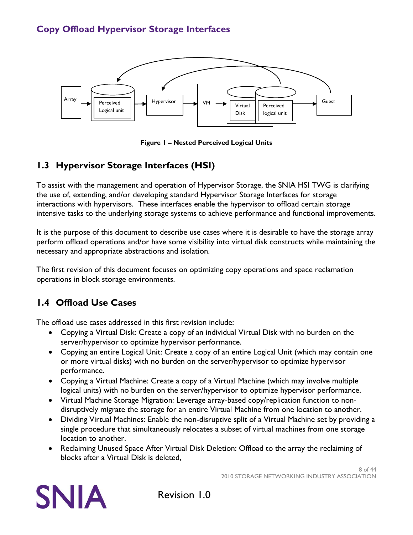

**Figure 1 – Nested Perceived Logical Units**

### <span id="page-7-2"></span><span id="page-7-0"></span>**1.3 Hypervisor Storage Interfaces (HSI)**

To assist with the management and operation of Hypervisor Storage, the SNIA HSI TWG is clarifying the use of, extending, and/or developing standard Hypervisor Storage Interfaces for storage interactions with hypervisors. These interfaces enable the hypervisor to offload certain storage intensive tasks to the underlying storage systems to achieve performance and functional improvements.

It is the purpose of this document to describe use cases where it is desirable to have the storage array perform offload operations and/or have some visibility into virtual disk constructs while maintaining the necessary and appropriate abstractions and isolation.

The first revision of this document focuses on optimizing copy operations and space reclamation operations in block storage environments.

### <span id="page-7-1"></span>**1.4 Offload Use Cases**

The offload use cases addressed in this first revision include:

- Copying a Virtual Disk: Create a copy of an individual Virtual Disk with no burden on the server/hypervisor to optimize hypervisor performance.
- Copying an entire Logical Unit: Create a copy of an entire Logical Unit (which may contain one or more virtual disks) with no burden on the server/hypervisor to optimize hypervisor performance.
- Copying a Virtual Machine: Create a copy of a Virtual Machine (which may involve multiple logical units) with no burden on the server/hypervisor to optimize hypervisor performance.
- Virtual Machine Storage Migration: Leverage array-based copy/replication function to nondisruptively migrate the storage for an entire Virtual Machine from one location to another.
- Dividing Virtual Machines: Enable the non-disruptive split of a Virtual Machine set by providing a single procedure that simultaneously relocates a subset of virtual machines from one storage location to another.
- Reclaiming Unused Space After Virtual Disk Deletion: Offload to the array the reclaiming of blocks after a Virtual Disk is deleted,

8 of 44 2010 STORAGE NETWORKING INDUSTRY ASSOCIATION

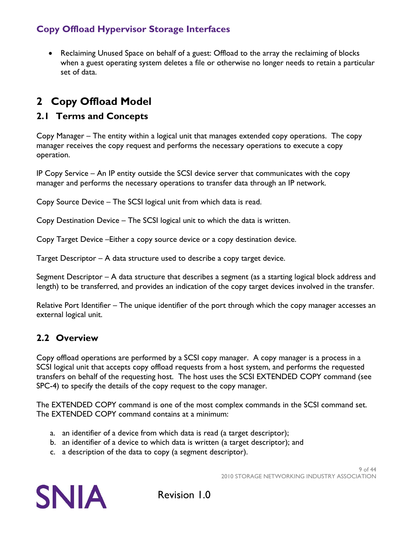• Reclaiming Unused Space on behalf of a guest: Offload to the array the reclaiming of blocks when a guest operating system deletes a file or otherwise no longer needs to retain a particular set of data.

# <span id="page-8-0"></span>**2 Copy Offload Model**

### <span id="page-8-1"></span>**2.1 Terms and Concepts**

Copy Manager – The entity within a logical unit that manages extended copy operations. The copy manager receives the copy request and performs the necessary operations to execute a copy operation.

IP Copy Service – An IP entity outside the SCSI device server that communicates with the copy manager and performs the necessary operations to transfer data through an IP network.

Copy Source Device – The SCSI logical unit from which data is read.

Copy Destination Device – The SCSI logical unit to which the data is written.

Copy Target Device –Either a copy source device or a copy destination device.

Target Descriptor – A data structure used to describe a copy target device.

Segment Descriptor – A data structure that describes a segment (as a starting logical block address and length) to be transferred, and provides an indication of the copy target devices involved in the transfer.

Relative Port Identifier – The unique identifier of the port through which the copy manager accesses an external logical unit.

### <span id="page-8-2"></span>**2.2 Overview**

Copy offload operations are performed by a SCSI copy manager. A copy manager is a process in a SCSI logical unit that accepts copy offload requests from a host system, and performs the requested transfers on behalf of the requesting host. The host uses the SCSI EXTENDED COPY command (see SPC-4) to specify the details of the copy request to the copy manager.

The EXTENDED COPY command is one of the most complex commands in the SCSI command set. The EXTENDED COPY command contains at a minimum:

- a. an identifier of a device from which data is read (a target descriptor);
- b. an identifier of a device to which data is written (a target descriptor); and
- c. a description of the data to copy (a segment descriptor).

9 of 44 2010 STORAGE NETWORKING INDUSTRY ASSOCIATION

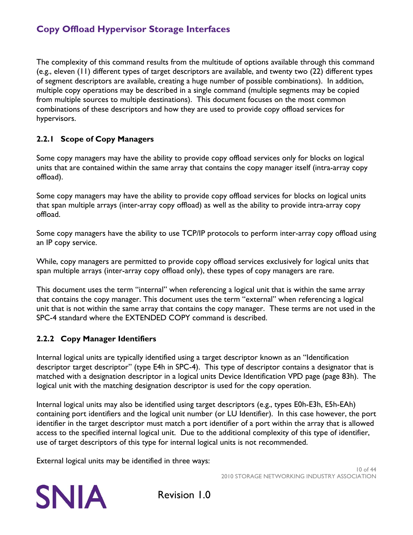The complexity of this command results from the multitude of options available through this command (e.g., eleven (11) different types of target descriptors are available, and twenty two (22) different types of segment descriptors are available, creating a huge number of possible combinations). In addition, multiple copy operations may be described in a single command (multiple segments may be copied from multiple sources to multiple destinations). This document focuses on the most common combinations of these descriptors and how they are used to provide copy offload services for hypervisors.

### <span id="page-9-0"></span>**2.2.1 Scope of Copy Managers**

Some copy managers may have the ability to provide copy offload services only for blocks on logical units that are contained within the same array that contains the copy manager itself (intra-array copy offload).

Some copy managers may have the ability to provide copy offload services for blocks on logical units that span multiple arrays (inter-array copy offload) as well as the ability to provide intra-array copy offload.

Some copy managers have the ability to use TCP/IP protocols to perform inter-array copy offload using an IP copy service.

While, copy managers are permitted to provide copy offload services exclusively for logical units that span multiple arrays (inter-array copy offload only), these types of copy managers are rare.

This document uses the term "internal" when referencing a logical unit that is within the same array that contains the copy manager. This document uses the term "external" when referencing a logical unit that is not within the same array that contains the copy manager. These terms are not used in the SPC-4 standard where the EXTENDED COPY command is described.

#### <span id="page-9-1"></span>**2.2.2 Copy Manager Identifiers**

Internal logical units are typically identified using a target descriptor known as an "Identification descriptor target descriptor" (type E4h in SPC-4). This type of descriptor contains a designator that is matched with a designation descriptor in a logical units Device Identification VPD page (page 83h). The logical unit with the matching designation descriptor is used for the copy operation.

Internal logical units may also be identified using target descriptors (e.g., types E0h-E3h, E5h-EAh) containing port identifiers and the logical unit number (or LU Identifier). In this case however, the port identifier in the target descriptor must match a port identifier of a port within the array that is allowed access to the specified internal logical unit. Due to the additional complexity of this type of identifier, use of target descriptors of this type for internal logical units is not recommended.

External logical units may be identified in three ways:

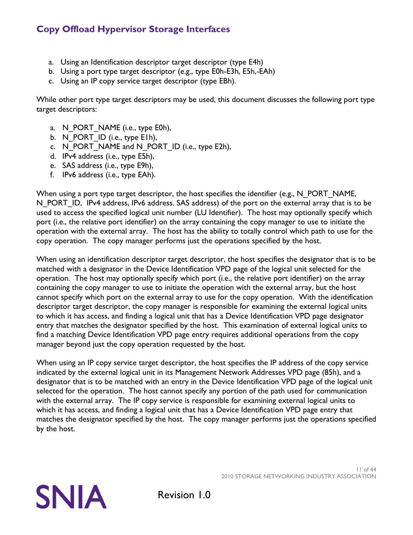- a. Using an Identification descriptor target descriptor (type E4h)
- b. Using a port type target descriptor (e.g., type E0h-E3h, E5h,-EAh)
- c. Using an IP copy service target descriptor (type EBh).

While other port type target descriptors may be used, this document discusses the following port type target descriptors:

- a. N\_PORT\_NAME (i.e., type E0h),
- b. N\_PORT\_ID (i.e., type E1h),
- c. N\_PORT\_NAME and N\_PORT\_ID (i.e., type E2h),
- d. IPv4 address (i.e., type E5h),
- e. SAS address (i.e., type E9h),
- f. IPv6 address (i.e., type EAh).

When using a port type target descriptor, the host specifies the identifier (e.g., N\_PORT\_NAME, N PORT ID, IPv4 address, IPv6 address. SAS address) of the port on the external array that is to be used to access the specified logical unit number (LU Identifier). The host may optionally specify which port (i.e., the relative port identifier) on the array containing the copy manager to use to initiate the operation with the external array. The host has the ability to totally control which path to use for the copy operation. The copy manager performs just the operations specified by the host.

When using an identification descriptor target descriptor, the host specifies the designator that is to be matched with a designator in the Device Identification VPD page of the logical unit selected for the operation. The host may optionally specify which port (i.e., the relative port identifier) on the array containing the copy manager to use to initiate the operation with the external array, but the host cannot specify which port on the external array to use for the copy operation. With the identification descriptor target descriptor, the copy manager is responsible for examining the external logical units to which it has access, and finding a logical unit that has a Device Identification VPD page designator entry that matches the designator specified by the host. This examination of external logical units to find a matching Device Identification VPD page entry requires additional operations from the copy manager beyond just the copy operation requested by the host.

When using an IP copy service target descriptor, the host specifies the IP address of the copy service indicated by the external logical unit in its Management Network Addresses VPD page (85h), and a designator that is to be matched with an entry in the Device Identification VPD page of the logical unit selected for the operation. The host cannot specify any portion of the path used for communication with the external array. The IP copy service is responsible for examining external logical units to which it has access, and finding a logical unit that has a Device Identification VPD page entry that matches the designator specified by the host. The copy manager performs just the operations specified by the host.

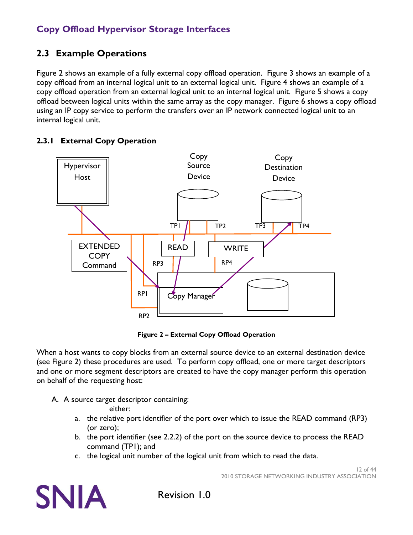### <span id="page-11-0"></span>**2.3 Example Operations**

[Figure 2](#page-11-2) shows an example of a fully external copy offload operation. [Figure 3](#page-13-1) shows an example of a copy offload from an internal logical unit to an external logical unit. [Figure 4](#page-15-1) shows an example of a copy offload operation from an external logical unit to an internal logical unit. [Figure 5](#page-17-1) shows a copy offload between logical units within the same array as the copy manager. [Figure 6](#page-18-1) shows a copy offload using an IP copy service to perform the transfers over an IP network connected logical unit to an internal logical unit.

#### TPI | TP2 TP3 | 1P4 Hypervisor Host Copy Manager Copy Source Device Copy **Destination** Device RP1 RP3 RP2 RP4 EXTENDED **COPY** Command READ | WRITE

### <span id="page-11-1"></span>**2.3.1 External Copy Operation**

**Figure 2 – External Copy Offload Operation**

<span id="page-11-2"></span>When a host wants to copy blocks from an external source device to an external destination device (see [Figure 2\)](#page-11-2) these procedures are used. To perform copy offload, one or more target descriptors and one or more segment descriptors are created to have the copy manager perform this operation on behalf of the requesting host:

A. A source target descriptor containing:

either:

- a. the relative port identifier of the port over which to issue the READ command (RP3) (or zero);
- b. the port identifier (see [2.2.2\)](#page-9-1) of the port on the source device to process the READ command (TP1); and
- c. the logical unit number of the logical unit from which to read the data.



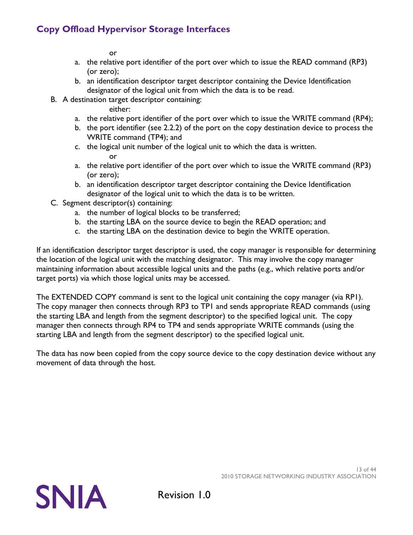or

- a. the relative port identifier of the port over which to issue the READ command (RP3) (or zero);
- b. an identification descriptor target descriptor containing the Device Identification designator of the logical unit from which the data is to be read.
- B. A destination target descriptor containing:

either:

- a. the relative port identifier of the port over which to issue the WRITE command (RP4);
- b. the port identifier (see [2.2.2\)](#page-9-1) of the port on the copy destination device to process the WRITE command (TP4); and
- c. the logical unit number of the logical unit to which the data is written. or
- a. the relative port identifier of the port over which to issue the WRITE command (RP3) (or zero);
- b. an identification descriptor target descriptor containing the Device Identification designator of the logical unit to which the data is to be written.
- C. Segment descriptor(s) containing:
	- a. the number of logical blocks to be transferred;
	- b. the starting LBA on the source device to begin the READ operation; and
	- c. the starting LBA on the destination device to begin the WRITE operation.

If an identification descriptor target descriptor is used, the copy manager is responsible for determining the location of the logical unit with the matching designator. This may involve the copy manager maintaining information about accessible logical units and the paths (e.g., which relative ports and/or target ports) via which those logical units may be accessed.

The EXTENDED COPY command is sent to the logical unit containing the copy manager (via RP1). The copy manager then connects through RP3 to TP1 and sends appropriate READ commands (using the starting LBA and length from the segment descriptor) to the specified logical unit. The copy manager then connects through RP4 to TP4 and sends appropriate WRITE commands (using the starting LBA and length from the segment descriptor) to the specified logical unit.

The data has now been copied from the copy source device to the copy destination device without any movement of data through the host.

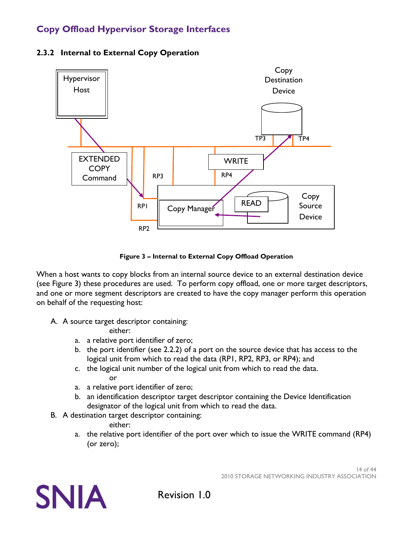

#### <span id="page-13-0"></span>**2.3.2 Internal to External Copy Operation**

**Figure 3 – Internal to External Copy Offload Operation**

<span id="page-13-1"></span>When a host wants to copy blocks from an internal source device to an external destination device (see [Figure 3\)](#page-13-1) these procedures are used. To perform copy offload, one or more target descriptors, and one or more segment descriptors are created to have the copy manager perform this operation on behalf of the requesting host:

A. A source target descriptor containing:

either:

- a. a relative port identifier of zero;
- b. the port identifier (see [2.2.2\)](#page-9-1) of a port on the source device that has access to the logical unit from which to read the data (RP1, RP2, RP3, or RP4); and
- c. the logical unit number of the logical unit from which to read the data. or
- a. a relative port identifier of zero;
- b. an identification descriptor target descriptor containing the Device Identification designator of the logical unit from which to read the data.
- B. A destination target descriptor containing:

either:

a. the relative port identifier of the port over which to issue the WRITE command (RP4) (or zero);

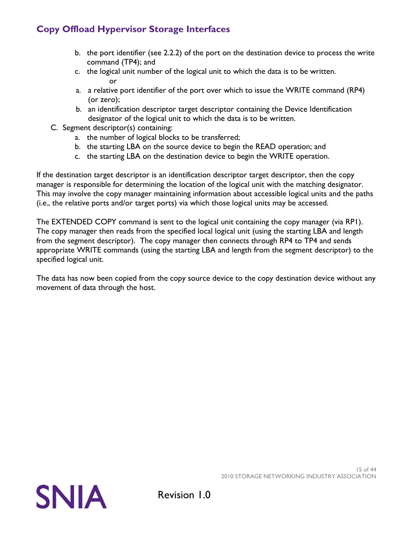- b. the port identifier (see [2.2.2\)](#page-9-1) of the port on the destination device to process the write command (TP4); and
- c. the logical unit number of the logical unit to which the data is to be written. or
- a. a relative port identifier of the port over which to issue the WRITE command (RP4) (or zero);
- b. an identification descriptor target descriptor containing the Device Identification designator of the logical unit to which the data is to be written.
- C. Segment descriptor(s) containing:
	- a. the number of logical blocks to be transferred;
	- b. the starting LBA on the source device to begin the READ operation; and
	- c. the starting LBA on the destination device to begin the WRITE operation.

If the destination target descriptor is an identification descriptor target descriptor, then the copy manager is responsible for determining the location of the logical unit with the matching designator. This may involve the copy manager maintaining information about accessible logical units and the paths (i.e., the relative ports and/or target ports) via which those logical units may be accessed.

The EXTENDED COPY command is sent to the logical unit containing the copy manager (via RP1). The copy manager then reads from the specified local logical unit (using the starting LBA and length from the segment descriptor). The copy manager then connects through RP4 to TP4 and sends appropriate WRITE commands (using the starting LBA and length from the segment descriptor) to the specified logical unit.

The data has now been copied from the copy source device to the copy destination device without any movement of data through the host.



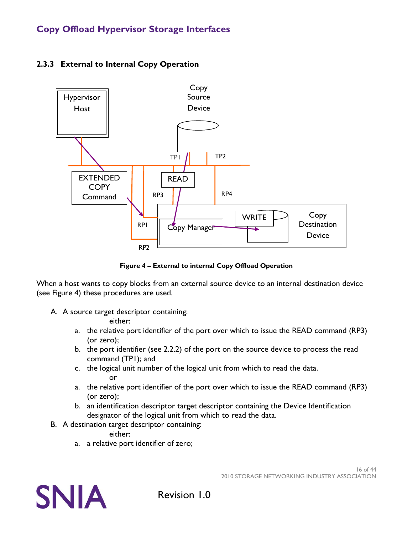

### <span id="page-15-0"></span>**2.3.3 External to Internal Copy Operation**

**Figure 4 – External to internal Copy Offload Operation**

<span id="page-15-1"></span>When a host wants to copy blocks from an external source device to an internal destination device (see [Figure 4\)](#page-15-1) these procedures are used.

A. A source target descriptor containing:

either:

- a. the relative port identifier of the port over which to issue the READ command (RP3) (or zero);
- b. the port identifier (see [2.2.2\)](#page-9-1) of the port on the source device to process the read command (TP1); and
- c. the logical unit number of the logical unit from which to read the data. or
- a. the relative port identifier of the port over which to issue the READ command (RP3) (or zero);
- b. an identification descriptor target descriptor containing the Device Identification designator of the logical unit from which to read the data.
- B. A destination target descriptor containing:

either:

a. a relative port identifier of zero;

**SNIA**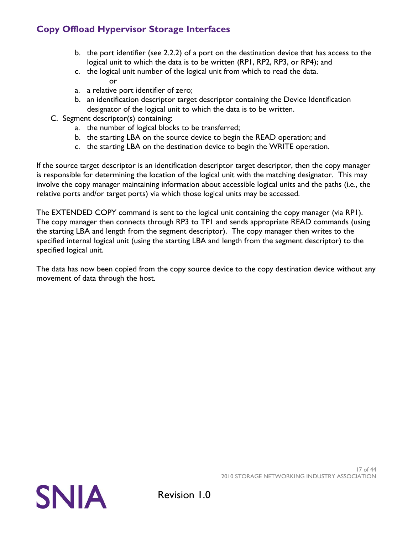- b. the port identifier (see [2.2.2\)](#page-9-1) of a port on the destination device that has access to the logical unit to which the data is to be written (RP1, RP2, RP3, or RP4); and
- c. the logical unit number of the logical unit from which to read the data. or
- a. a relative port identifier of zero;
- b. an identification descriptor target descriptor containing the Device Identification designator of the logical unit to which the data is to be written.
- C. Segment descriptor(s) containing:
	- a. the number of logical blocks to be transferred;
	- b. the starting LBA on the source device to begin the READ operation; and
	- c. the starting LBA on the destination device to begin the WRITE operation.

If the source target descriptor is an identification descriptor target descriptor, then the copy manager is responsible for determining the location of the logical unit with the matching designator. This may involve the copy manager maintaining information about accessible logical units and the paths (i.e., the relative ports and/or target ports) via which those logical units may be accessed.

The EXTENDED COPY command is sent to the logical unit containing the copy manager (via RP1). The copy manager then connects through RP3 to TP1 and sends appropriate READ commands (using the starting LBA and length from the segment descriptor). The copy manager then writes to the specified internal logical unit (using the starting LBA and length from the segment descriptor) to the specified logical unit.

The data has now been copied from the copy source device to the copy destination device without any movement of data through the host.



2010 STORAGE NETWORKING INDUSTRY ASSOCIATION

17 of 44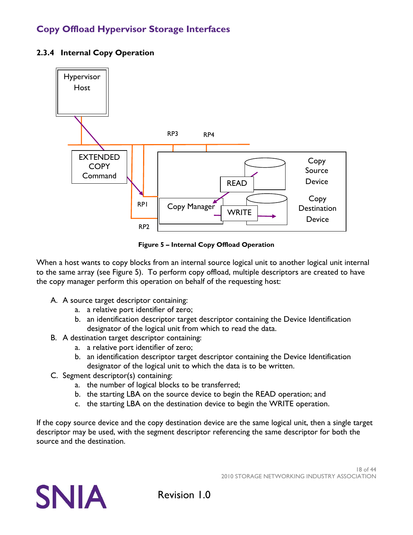

#### <span id="page-17-0"></span>**2.3.4 Internal Copy Operation**

**Figure 5 – Internal Copy Offload Operation**

<span id="page-17-1"></span>When a host wants to copy blocks from an internal source logical unit to another logical unit internal to the same array (see [Figure 5\)](#page-17-1). To perform copy offload, multiple descriptors are created to have the copy manager perform this operation on behalf of the requesting host:

- A. A source target descriptor containing:
	- a. a relative port identifier of zero;
	- b. an identification descriptor target descriptor containing the Device Identification designator of the logical unit from which to read the data.
- B. A destination target descriptor containing:
	- a. a relative port identifier of zero;
	- b. an identification descriptor target descriptor containing the Device Identification designator of the logical unit to which the data is to be written.
- C. Segment descriptor(s) containing:
	- a. the number of logical blocks to be transferred;
	- b. the starting LBA on the source device to begin the READ operation; and
	- c. the starting LBA on the destination device to begin the WRITE operation.

If the copy source device and the copy destination device are the same logical unit, then a single target descriptor may be used, with the segment descriptor referencing the same descriptor for both the source and the destination.

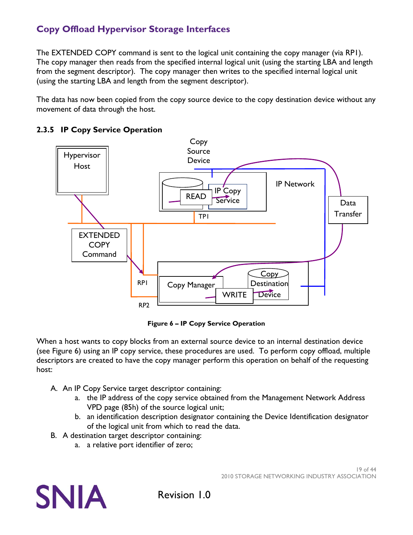The EXTENDED COPY command is sent to the logical unit containing the copy manager (via RP1). The copy manager then reads from the specified internal logical unit (using the starting LBA and length from the segment descriptor). The copy manager then writes to the specified internal logical unit (using the starting LBA and length from the segment descriptor).

The data has now been copied from the copy source device to the copy destination device without any movement of data through the host.



#### <span id="page-18-0"></span>**2.3.5 IP Copy Service Operation**

**Figure 6 – IP Copy Service Operation**

<span id="page-18-1"></span>When a host wants to copy blocks from an external source device to an internal destination device (see [Figure 6\)](#page-18-1) using an IP copy service, these procedures are used. To perform copy offload, multiple descriptors are created to have the copy manager perform this operation on behalf of the requesting host:

- A. An IP Copy Service target descriptor containing:
	- a. the IP address of the copy service obtained from the Management Network Address VPD page (85h) of the source logical unit;
	- b. an identification description designator containing the Device Identification designator of the logical unit from which to read the data.
- B. A destination target descriptor containing:
	- a. a relative port identifier of zero;

**SNIA**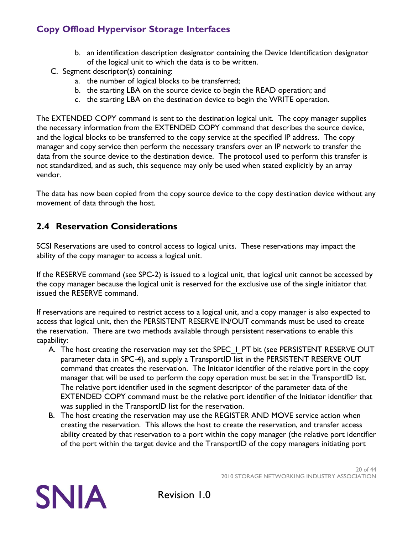- b. an identification description designator containing the Device Identification designator of the logical unit to which the data is to be written.
- C. Segment descriptor(s) containing:
	- a. the number of logical blocks to be transferred;
	- b. the starting LBA on the source device to begin the READ operation; and
	- c. the starting LBA on the destination device to begin the WRITE operation.

The EXTENDED COPY command is sent to the destination logical unit. The copy manager supplies the necessary information from the EXTENDED COPY command that describes the source device, and the logical blocks to be transferred to the copy service at the specified IP address. The copy manager and copy service then perform the necessary transfers over an IP network to transfer the data from the source device to the destination device. The protocol used to perform this transfer is not standardized, and as such, this sequence may only be used when stated explicitly by an array vendor.

The data has now been copied from the copy source device to the copy destination device without any movement of data through the host.

### <span id="page-19-0"></span>**2.4 Reservation Considerations**

SCSI Reservations are used to control access to logical units. These reservations may impact the ability of the copy manager to access a logical unit.

If the RESERVE command (see SPC-2) is issued to a logical unit, that logical unit cannot be accessed by the copy manager because the logical unit is reserved for the exclusive use of the single initiator that issued the RESERVE command.

If reservations are required to restrict access to a logical unit, and a copy manager is also expected to access that logical unit, then the PERSISTENT RESERVE IN/OUT commands must be used to create the reservation. There are two methods available through persistent reservations to enable this capability:

- A. The host creating the reservation may set the SPEC\_I\_PT bit (see PERSISTENT RESERVE OUT parameter data in SPC-4), and supply a TransportID list in the PERSISTENT RESERVE OUT command that creates the reservation. The Initiator identifier of the relative port in the copy manager that will be used to perform the copy operation must be set in the TransportID list. The relative port identifier used in the segment descriptor of the parameter data of the EXTENDED COPY command must be the relative port identifier of the Initiator identifier that was supplied in the TransportID list for the reservation.
- B. The host creating the reservation may use the REGISTER AND MOVE service action when creating the reservation. This allows the host to create the reservation, and transfer access ability created by that reservation to a port within the copy manager (the relative port identifier of the port within the target device and the TransportID of the copy managers initiating port

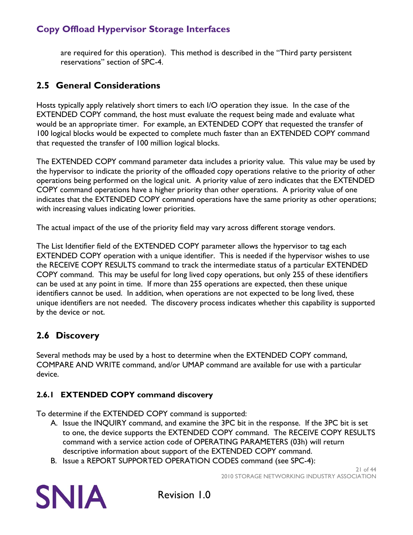are required for this operation). This method is described in the "Third party persistent reservations" section of SPC-4.

### <span id="page-20-0"></span>**2.5 General Considerations**

Hosts typically apply relatively short timers to each I/O operation they issue. In the case of the EXTENDED COPY command, the host must evaluate the request being made and evaluate what would be an appropriate timer. For example, an EXTENDED COPY that requested the transfer of 100 logical blocks would be expected to complete much faster than an EXTENDED COPY command that requested the transfer of 100 million logical blocks.

The EXTENDED COPY command parameter data includes a priority value. This value may be used by the hypervisor to indicate the priority of the offloaded copy operations relative to the priority of other operations being performed on the logical unit. A priority value of zero indicates that the EXTENDED COPY command operations have a higher priority than other operations. A priority value of one indicates that the EXTENDED COPY command operations have the same priority as other operations; with increasing values indicating lower priorities.

The actual impact of the use of the priority field may vary across different storage vendors.

The List Identifier field of the EXTENDED COPY parameter allows the hypervisor to tag each EXTENDED COPY operation with a unique identifier. This is needed if the hypervisor wishes to use the RECEIVE COPY RESULTS command to track the intermediate status of a particular EXTENDED COPY command. This may be useful for long lived copy operations, but only 255 of these identifiers can be used at any point in time. If more than 255 operations are expected, then these unique identifiers cannot be used. In addition, when operations are not expected to be long lived, these unique identifiers are not needed. The discovery process indicates whether this capability is supported by the device or not.

### <span id="page-20-1"></span>**2.6 Discovery**

Several methods may be used by a host to determine when the EXTENDED COPY command, COMPARE AND WRITE command, and/or UMAP command are available for use with a particular device.

### <span id="page-20-2"></span>**2.6.1 EXTENDED COPY command discovery**

To determine if the EXTENDED COPY command is supported:

- A. Issue the INQUIRY command, and examine the 3PC bit in the response. If the 3PC bit is set to one, the device supports the EXTENDED COPY command. The RECEIVE COPY RESULTS command with a service action code of OPERATING PARAMETERS (03h) will return descriptive information about support of the EXTENDED COPY command.
- B. Issue a REPORT SUPPORTED OPERATION CODES command (see SPC-4):

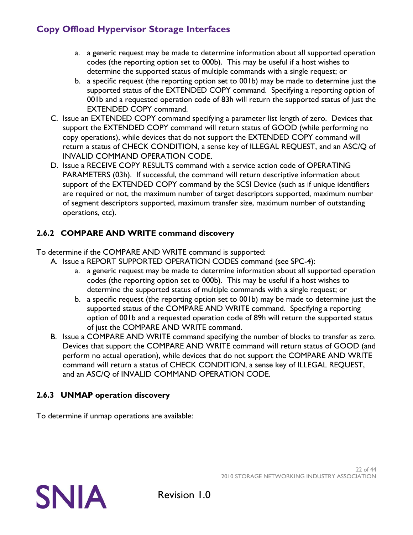- a. a generic request may be made to determine information about all supported operation codes (the reporting option set to 000b). This may be useful if a host wishes to determine the supported status of multiple commands with a single request; or
- b. a specific request (the reporting option set to 001b) may be made to determine just the supported status of the EXTENDED COPY command. Specifying a reporting option of 001b and a requested operation code of 83h will return the supported status of just the EXTENDED COPY command.
- C. Issue an EXTENDED COPY command specifying a parameter list length of zero. Devices that support the EXTENDED COPY command will return status of GOOD (while performing no copy operations), while devices that do not support the EXTENDED COPY command will return a status of CHECK CONDITION, a sense key of ILLEGAL REQUEST, and an ASC/Q of INVALID COMMAND OPERATION CODE.
- D. Issue a RECEIVE COPY RESULTS command with a service action code of OPERATING PARAMETERS (03h). If successful, the command will return descriptive information about support of the EXTENDED COPY command by the SCSI Device (such as if unique identifiers are required or not, the maximum number of target descriptors supported, maximum number of segment descriptors supported, maximum transfer size, maximum number of outstanding operations, etc).

### <span id="page-21-0"></span>**2.6.2 COMPARE AND WRITE command discovery**

To determine if the COMPARE AND WRITE command is supported:

- A. Issue a REPORT SUPPORTED OPERATION CODES command (see SPC-4):
	- a. a generic request may be made to determine information about all supported operation codes (the reporting option set to 000b). This may be useful if a host wishes to determine the supported status of multiple commands with a single request; or
	- b. a specific request (the reporting option set to 001b) may be made to determine just the supported status of the COMPARE AND WRITE command. Specifying a reporting option of 001b and a requested operation code of 89h will return the supported status of just the COMPARE AND WRITE command.
- B. Issue a COMPARE AND WRITE command specifying the number of blocks to transfer as zero. Devices that support the COMPARE AND WRITE command will return status of GOOD (and perform no actual operation), while devices that do not support the COMPARE AND WRITE command will return a status of CHECK CONDITION, a sense key of ILLEGAL REQUEST, and an ASC/Q of INVALID COMMAND OPERATION CODE.

### <span id="page-21-1"></span>**2.6.3 UNMAP operation discovery**

To determine if unmap operations are available:

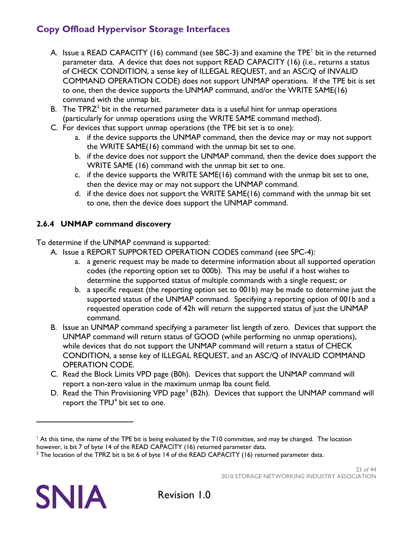- A. Issue a READ CAPACITY ([1](#page-22-1)6) command (see SBC-3) and examine the TPE<sup>1</sup> bit in the returned parameter data. A device that does not support READ CAPACITY (16) (i.e., returns a status of CHECK CONDITION, a sense key of ILLEGAL REQUEST, and an ASC/Q of INVALID COMMAND OPERATION CODE) does not support UNMAP operations. If the TPE bit is set to one, then the device supports the UNMAP command, and/or the WRITE SAME(16) command with the unmap bit.
- B. The TPR $Z^2$  $Z^2$  bit in the returned parameter data is a useful hint for unmap operations (particularly for unmap operations using the WRITE SAME command method).
- C. For devices that support unmap operations (the TPE bit set is to one):
	- a. if the device supports the UNMAP command, then the device may or may not support the WRITE SAME(16) command with the unmap bit set to one.
	- b. if the device does not support the UNMAP command, then the device does support the WRITE SAME (16) command with the unmap bit set to one.
	- c. if the device supports the WRITE SAME(16) command with the unmap bit set to one, then the device may or may not support the UNMAP command.
	- d. if the device does not support the WRITE SAME(16) command with the unmap bit set to one, then the device does support the UNMAP command.

### <span id="page-22-0"></span>**2.6.4 UNMAP command discovery**

To determine if the UNMAP command is supported:

- A. Issue a REPORT SUPPORTED OPERATION CODES command (see SPC-4):
	- a. a generic request may be made to determine information about all supported operation codes (the reporting option set to 000b). This may be useful if a host wishes to determine the supported status of multiple commands with a single request; or
	- b. a specific request (the reporting option set to 001b) may be made to determine just the supported status of the UNMAP command. Specifying a reporting option of 001b and a requested operation code of 42h will return the supported status of just the UNMAP command.
- B. Issue an UNMAP command specifying a parameter list length of zero. Devices that support the UNMAP command will return status of GOOD (while performing no unmap operations), while devices that do not support the UNMAP command will return a status of CHECK CONDITION, a sense key of ILLEGAL REQUEST, and an ASC/Q of INVALID COMMAND OPERATION CODE.
- C. Read the Block Limits VPD page (B0h). Devices that support the UNMAP command will report a non-zero value in the maximum unmap lba count field.
- D. Read the Thin Provisioning VPD page<sup>[3](#page-22-3)</sup> (B2h). Devices that support the UNMAP command will report the  $TPU<sup>4</sup>$  $TPU<sup>4</sup>$  $TPU<sup>4</sup>$  bit set to one.



<span id="page-22-4"></span><span id="page-22-3"></span> $\overline{a}$ 

<span id="page-22-1"></span> $<sup>1</sup>$  At this time, the name of the TPE bit is being evaluated by the T10 committee, and may be changed. The location</sup> however, is bit 7 of byte 14 of the READ CAPACITY (16) returned parameter data.

<span id="page-22-2"></span> $2$  The location of the TPRZ bit is bit 6 of byte 14 of the READ CAPACITY (16) returned parameter data.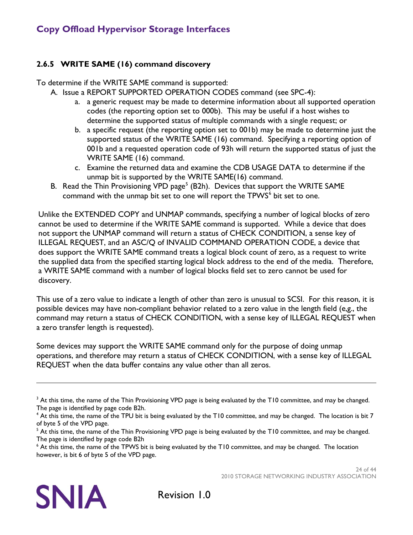#### <span id="page-23-0"></span>**2.6.5 WRITE SAME (16) command discovery**

To determine if the WRITE SAME command is supported:

- A. Issue a REPORT SUPPORTED OPERATION CODES command (see SPC-4):
	- a. a generic request may be made to determine information about all supported operation codes (the reporting option set to 000b). This may be useful if a host wishes to determine the supported status of multiple commands with a single request; or
	- b. a specific request (the reporting option set to 001b) may be made to determine just the supported status of the WRITE SAME (16) command. Specifying a reporting option of 001b and a requested operation code of 93h will return the supported status of just the WRITE SAME (16) command.
	- c. Examine the returned data and examine the CDB USAGE DATA to determine if the unmap bit is supported by the WRITE SAME(16) command.
- B. Read the Thin Provisioning VPD page<sup>[5](#page-23-1)</sup> (B2h). Devices that support the WRITE SAME command with the unmap bit set to one will report the TPWS<sup>[6](#page-23-2)</sup> bit set to one.

Unlike the EXTENDED COPY and UNMAP commands, specifying a number of logical blocks of zero cannot be used to determine if the WRITE SAME command is supported. While a device that does not support the UNMAP command will return a status of CHECK CONDITION, a sense key of ILLEGAL REQUEST, and an ASC/Q of INVALID COMMAND OPERATION CODE, a device that does support the WRITE SAME command treats a logical block count of zero, as a request to write the supplied data from the specified starting logical block address to the end of the media. Therefore, a WRITE SAME command with a number of logical blocks field set to zero cannot be used for discovery.

This use of a zero value to indicate a length of other than zero is unusual to SCSI. For this reason, it is possible devices may have non-compliant behavior related to a zero value in the length field (e,g., the command may return a status of CHECK CONDITION, with a sense key of ILLEGAL REQUEST when a zero transfer length is requested).

Some devices may support the WRITE SAME command only for the purpose of doing unmap operations, and therefore may return a status of CHECK CONDITION, with a sense key of ILLEGAL REQUEST when the data buffer contains any value other than all zeros.



 $\overline{a}$ 

<sup>&</sup>lt;sup>3</sup> At this time, the name of the Thin Provisioning VPD page is being evaluated by the T10 committee, and may be changed. The page is identified by page code B2h.

<sup>&</sup>lt;sup>4</sup> At this time, the name of the TPU bit is being evaluated by the T10 committee, and may be changed. The location is bit 7 of byte 5 of the VPD page.

<span id="page-23-1"></span><sup>&</sup>lt;sup>5</sup> At this time, the name of the Thin Provisioning VPD page is being evaluated by the T10 committee, and may be changed. The page is identified by page code B2h

<span id="page-23-2"></span><sup>&</sup>lt;sup>6</sup> At this time, the name of the TPWS bit is being evaluated by the T10 committee, and may be changed. The location however, is bit 6 of byte 5 of the VPD page.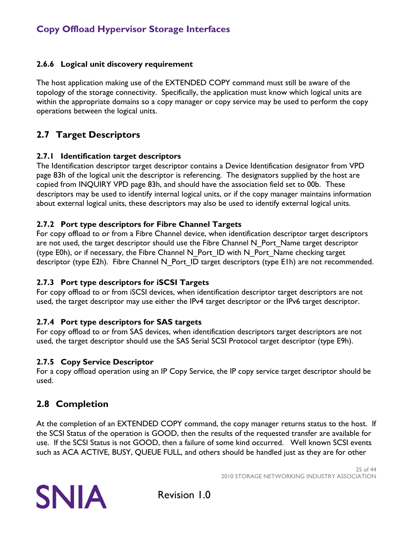#### <span id="page-24-0"></span>**2.6.6 Logical unit discovery requirement**

The host application making use of the EXTENDED COPY command must still be aware of the topology of the storage connectivity. Specifically, the application must know which logical units are within the appropriate domains so a copy manager or copy service may be used to perform the copy operations between the logical units.

### <span id="page-24-1"></span>**2.7 Target Descriptors**

#### <span id="page-24-2"></span>**2.7.1 Identification target descriptors**

The Identification descriptor target descriptor contains a Device Identification designator from VPD page 83h of the logical unit the descriptor is referencing. The designators supplied by the host are copied from INQUIRY VPD page 83h, and should have the association field set to 00b. These descriptors may be used to identify internal logical units, or if the copy manager maintains information about external logical units, these descriptors may also be used to identify external logical units.

#### <span id="page-24-3"></span>**2.7.2 Port type descriptors for Fibre Channel Targets**

For copy offload to or from a Fibre Channel device, when identification descriptor target descriptors are not used, the target descriptor should use the Fibre Channel N\_Port\_Name target descriptor (type E0h), or if necessary, the Fibre Channel N\_Port\_ID with N\_Port\_Name checking target descriptor (type E2h). Fibre Channel N\_Port\_ID target descriptors (type E1h) are not recommended.

#### <span id="page-24-4"></span>**2.7.3 Port type descriptors for iSCSI Targets**

For copy offload to or from iSCSI devices, when identification descriptor target descriptors are not used, the target descriptor may use either the IPv4 target descriptor or the IPv6 target descriptor.

#### <span id="page-24-5"></span>**2.7.4 Port type descriptors for SAS targets**

For copy offload to or from SAS devices, when identification descriptors target descriptors are not used, the target descriptor should use the SAS Serial SCSI Protocol target descriptor (type E9h).

#### <span id="page-24-6"></span>**2.7.5 Copy Service Descriptor**

For a copy offload operation using an IP Copy Service, the IP copy service target descriptor should be used.

## <span id="page-24-7"></span>**2.8 Completion**

At the completion of an EXTENDED COPY command, the copy manager returns status to the host. If the SCSI Status of the operation is GOOD, then the results of the requested transfer are available for use. If the SCSI Status is not GOOD, then a failure of some kind occurred. Well known SCSI events such as ACA ACTIVE, BUSY, QUEUE FULL, and others should be handled just as they are for other

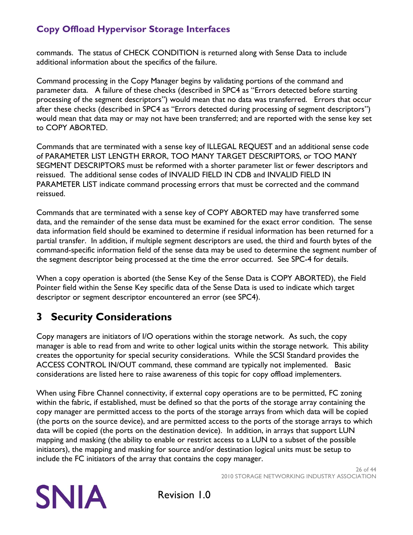commands. The status of CHECK CONDITION is returned along with Sense Data to include additional information about the specifics of the failure.

Command processing in the Copy Manager begins by validating portions of the command and parameter data. A failure of these checks (described in SPC4 as "Errors detected before starting processing of the segment descriptors") would mean that no data was transferred. Errors that occur after these checks (described in SPC4 as "Errors detected during processing of segment descriptors") would mean that data may or may not have been transferred; and are reported with the sense key set to COPY ABORTED.

Commands that are terminated with a sense key of ILLEGAL REQUEST and an additional sense code of PARAMETER LIST LENGTH ERROR, TOO MANY TARGET DESCRIPTORS, or TOO MANY SEGMENT DESCRIPTORS must be reformed with a shorter parameter list or fewer descriptors and reissued. The additional sense codes of INVALID FIELD IN CDB and INVALID FIELD IN PARAMETER LIST indicate command processing errors that must be corrected and the command reissued.

Commands that are terminated with a sense key of COPY ABORTED may have transferred some data, and the remainder of the sense data must be examined for the exact error condition. The sense data information field should be examined to determine if residual information has been returned for a partial transfer. In addition, if multiple segment descriptors are used, the third and fourth bytes of the command-specific information field of the sense data may be used to determine the segment number of the segment descriptor being processed at the time the error occurred. See SPC-4 for details.

When a copy operation is aborted (the Sense Key of the Sense Data is COPY ABORTED), the Field Pointer field within the Sense Key specific data of the Sense Data is used to indicate which target descriptor or segment descriptor encountered an error (see SPC4).

# <span id="page-25-0"></span>**3 Security Considerations**

Copy managers are initiators of I/O operations within the storage network. As such, the copy manager is able to read from and write to other logical units within the storage network. This ability creates the opportunity for special security considerations. While the SCSI Standard provides the ACCESS CONTROL IN/OUT command, these command are typically not implemented. Basic considerations are listed here to raise awareness of this topic for copy offload implementers.

When using Fibre Channel connectivity, if external copy operations are to be permitted, FC zoning within the fabric, if established, must be defined so that the ports of the storage array containing the copy manager are permitted access to the ports of the storage arrays from which data will be copied (the ports on the source device), and are permitted access to the ports of the storage arrays to which data will be copied (the ports on the destination device). In addition, in arrays that support LUN mapping and masking (the ability to enable or restrict access to a LUN to a subset of the possible initiators), the mapping and masking for source and/or destination logical units must be setup to include the FC initiators of the array that contains the copy manager.

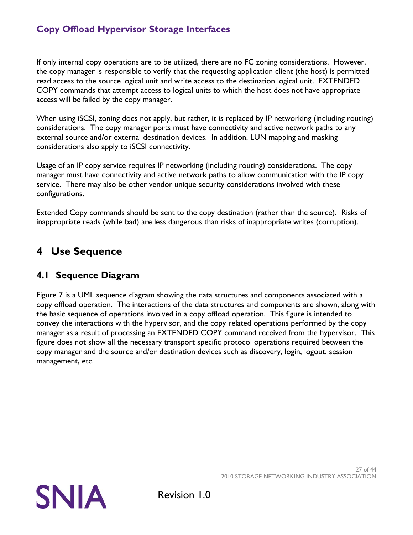If only internal copy operations are to be utilized, there are no FC zoning considerations. However, the copy manager is responsible to verify that the requesting application client (the host) is permitted read access to the source logical unit and write access to the destination logical unit. EXTENDED COPY commands that attempt access to logical units to which the host does not have appropriate access will be failed by the copy manager.

When using iSCSI, zoning does not apply, but rather, it is replaced by IP networking (including routing) considerations. The copy manager ports must have connectivity and active network paths to any external source and/or external destination devices. In addition, LUN mapping and masking considerations also apply to iSCSI connectivity.

Usage of an IP copy service requires IP networking (including routing) considerations. The copy manager must have connectivity and active network paths to allow communication with the IP copy service. There may also be other vendor unique security considerations involved with these configurations.

Extended Copy commands should be sent to the copy destination (rather than the source). Risks of inappropriate reads (while bad) are less dangerous than risks of inappropriate writes (corruption).

# <span id="page-26-0"></span>**4 Use Sequence**

### <span id="page-26-1"></span>**4.1 Sequence Diagram**

[Figure 7](#page-27-0) is a UML sequence diagram showing the data structures and components associated with a copy offload operation. The interactions of the data structures and components are shown, along with the basic sequence of operations involved in a copy offload operation. This figure is intended to convey the interactions with the hypervisor, and the copy related operations performed by the copy manager as a result of processing an EXTENDED COPY command received from the hypervisor. This figure does not show all the necessary transport specific protocol operations required between the copy manager and the source and/or destination devices such as discovery, login, logout, session management, etc.

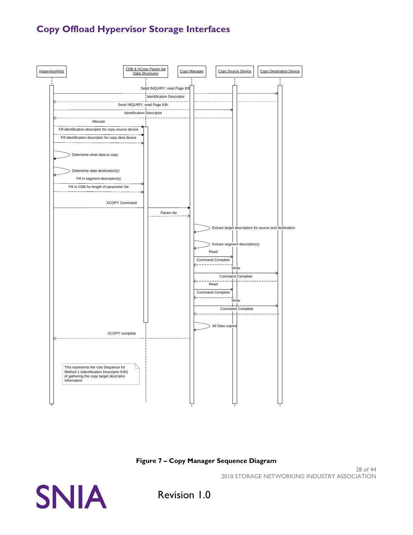

#### **Figure 7 – Copy Manager Sequence Diagram**

28 of 44 2010 STORAGE NETWORKING INDUSTRY ASSOCIATION

<span id="page-27-0"></span>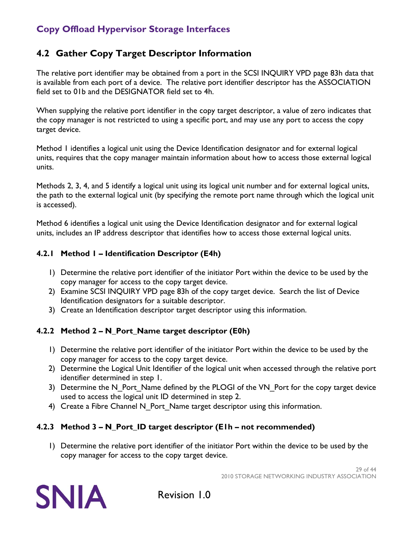### <span id="page-28-0"></span>**4.2 Gather Copy Target Descriptor Information**

The relative port identifier may be obtained from a port in the SCSI INQUIRY VPD page 83h data that is available from each port of a device. The relative port identifier descriptor has the ASSOCIATION field set to 01b and the DESIGNATOR field set to 4h.

When supplying the relative port identifier in the copy target descriptor, a value of zero indicates that the copy manager is not restricted to using a specific port, and may use any port to access the copy target device.

Method 1 identifies a logical unit using the Device Identification designator and for external logical units, requires that the copy manager maintain information about how to access those external logical units.

Methods 2, 3, 4, and 5 identify a logical unit using its logical unit number and for external logical units, the path to the external logical unit (by specifying the remote port name through which the logical unit is accessed).

Method 6 identifies a logical unit using the Device Identification designator and for external logical units, includes an IP address descriptor that identifies how to access those external logical units.

### <span id="page-28-1"></span>**4.2.1 Method 1 – Identification Descriptor (E4h)**

- 1) Determine the relative port identifier of the initiator Port within the device to be used by the copy manager for access to the copy target device.
- 2) Examine SCSI INQUIRY VPD page 83h of the copy target device. Search the list of Device Identification designators for a suitable descriptor.
- 3) Create an Identification descriptor target descriptor using this information.

### <span id="page-28-2"></span>**4.2.2 Method 2 – N\_Port\_Name target descriptor (E0h)**

- 1) Determine the relative port identifier of the initiator Port within the device to be used by the copy manager for access to the copy target device.
- 2) Determine the Logical Unit Identifier of the logical unit when accessed through the relative port identifier determined in step 1.
- 3) Determine the N\_Port\_Name defined by the PLOGI of the VN\_Port for the copy target device used to access the logical unit ID determined in step 2.
- 4) Create a Fibre Channel N Port Name target descriptor using this information.

### <span id="page-28-3"></span>**4.2.3 Method 3 – N\_Port\_ID target descriptor (E1h – not recommended)**

1) Determine the relative port identifier of the initiator Port within the device to be used by the copy manager for access to the copy target device.

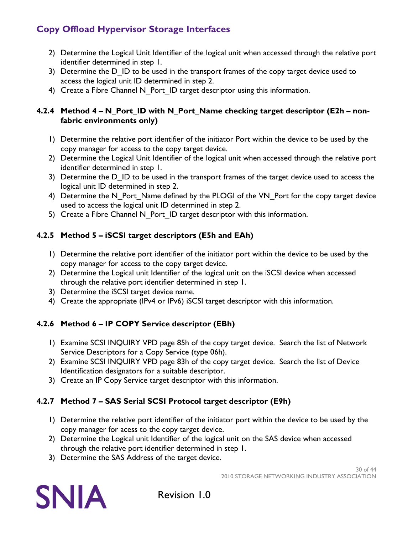- 2) Determine the Logical Unit Identifier of the logical unit when accessed through the relative port identifier determined in step 1.
- 3) Determine the D ID to be used in the transport frames of the copy target device used to access the logical unit ID determined in step 2.
- 4) Create a Fibre Channel N Port ID target descriptor using this information.

#### <span id="page-29-0"></span>**4.2.4 Method 4 – N\_Port\_ID with N\_Port\_Name checking target descriptor (E2h – nonfabric environments only)**

- 1) Determine the relative port identifier of the initiator Port within the device to be used by the copy manager for access to the copy target device.
- 2) Determine the Logical Unit Identifier of the logical unit when accessed through the relative port identifier determined in step 1.
- 3) Determine the D ID to be used in the transport frames of the target device used to access the logical unit ID determined in step 2.
- 4) Determine the N\_Port\_Name defined by the PLOGI of the VN\_Port for the copy target device used to access the logical unit ID determined in step 2.
- 5) Create a Fibre Channel N\_Port\_ID target descriptor with this information.

### <span id="page-29-1"></span>**4.2.5 Method 5 – iSCSI target descriptors (E5h and EAh)**

- 1) Determine the relative port identifier of the initiator port within the device to be used by the copy manager for access to the copy target device.
- 2) Determine the Logical unit Identifier of the logical unit on the iSCSI device when accessed through the relative port identifier determined in step 1.
- 3) Determine the iSCSI target device name.
- 4) Create the appropriate (IPv4 or IPv6) iSCSI target descriptor with this information.

### <span id="page-29-2"></span>**4.2.6 Method 6 – IP COPY Service descriptor (EBh)**

- 1) Examine SCSI INQUIRY VPD page 85h of the copy target device. Search the list of Network Service Descriptors for a Copy Service (type 06h).
- 2) Examine SCSI INQUIRY VPD page 83h of the copy target device. Search the list of Device Identification designators for a suitable descriptor.
- 3) Create an IP Copy Service target descriptor with this information.

### <span id="page-29-3"></span>**4.2.7 Method 7 – SAS Serial SCSI Protocol target descriptor (E9h)**

- 1) Determine the relative port identifier of the initiator port within the device to be used by the copy manager for acess to the copy target device.
- 2) Determine the Logical unit Identifier of the logical unit on the SAS device when accessed through the relative port identifier determined in step 1.
- 3) Determine the SAS Address of the target device.

30 of 44 2010 STORAGE NETWORKING INDUSTRY ASSOCIATION

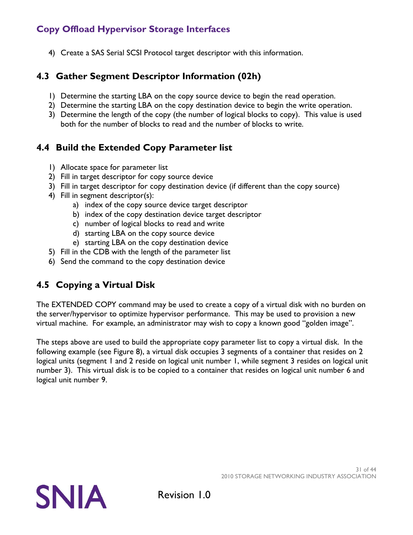4) Create a SAS Serial SCSI Protocol target descriptor with this information.

### <span id="page-30-0"></span>**4.3 Gather Segment Descriptor Information (02h)**

- 1) Determine the starting LBA on the copy source device to begin the read operation.
- 2) Determine the starting LBA on the copy destination device to begin the write operation.
- 3) Determine the length of the copy (the number of logical blocks to copy). This value is used both for the number of blocks to read and the number of blocks to write.

### <span id="page-30-1"></span>**4.4 Build the Extended Copy Parameter list**

- 1) Allocate space for parameter list
- 2) Fill in target descriptor for copy source device
- 3) Fill in target descriptor for copy destination device (if different than the copy source)
- 4) Fill in segment descriptor(s):
	- a) index of the copy source device target descriptor
	- b) index of the copy destination device target descriptor
	- c) number of logical blocks to read and write
	- d) starting LBA on the copy source device
	- e) starting LBA on the copy destination device
- 5) Fill in the CDB with the length of the parameter list
- 6) Send the command to the copy destination device

## <span id="page-30-2"></span>**4.5 Copying a Virtual Disk**

The EXTENDED COPY command may be used to create a copy of a virtual disk with no burden on the server/hypervisor to optimize hypervisor performance. This may be used to provision a new virtual machine. For example, an administrator may wish to copy a known good "golden image".

The steps above are used to build the appropriate copy parameter list to copy a virtual disk. In the following example (see [Figure 8\)](#page-31-0), a virtual disk occupies 3 segments of a container that resides on 2 logical units (segment 1 and 2 reside on logical unit number 1, while segment 3 resides on logical unit number 3). This virtual disk is to be copied to a container that resides on logical unit number 6 and logical unit number 9.

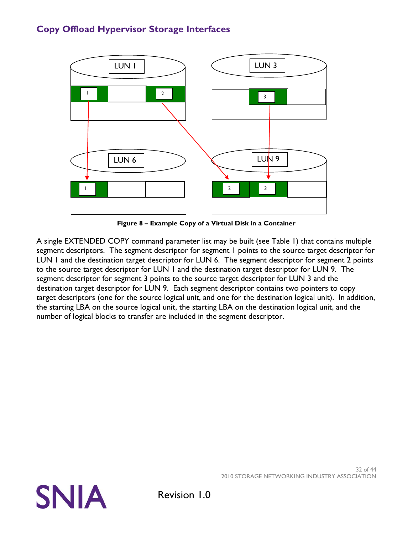

**Figure 8 – Example Copy of a Virtual Disk in a Container**

<span id="page-31-0"></span>A single EXTENDED COPY command parameter list may be built (see [Table 1\)](#page-32-0) that contains multiple segment descriptors. The segment descriptor for segment 1 points to the source target descriptor for LUN 1 and the destination target descriptor for LUN 6. The segment descriptor for segment 2 points to the source target descriptor for LUN 1 and the destination target descriptor for LUN 9. The segment descriptor for segment 3 points to the source target descriptor for LUN 3 and the destination target descriptor for LUN 9. Each segment descriptor contains two pointers to copy target descriptors (one for the source logical unit, and one for the destination logical unit). In addition, the starting LBA on the source logical unit, the starting LBA on the destination logical unit, and the number of logical blocks to transfer are included in the segment descriptor.



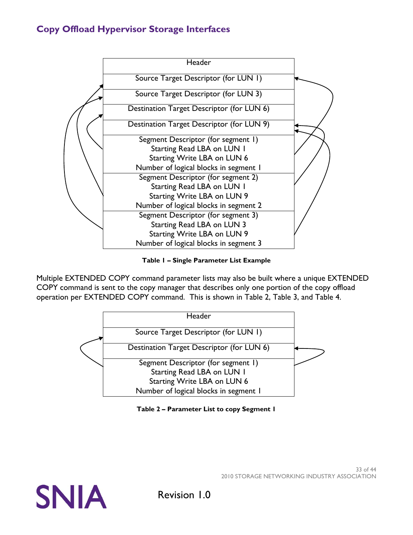

**Table 1 – Single Parameter List Example**

<span id="page-32-0"></span>Multiple EXTENDED COPY command parameter lists may also be built where a unique EXTENDED COPY command is sent to the copy manager that describes only one portion of the copy offload operation per EXTENDED COPY command. This is shown in [Table 2,](#page-32-2) [Table](#page-33-3) 3, and [Table 4.](#page-33-4)



**Table 2 – Parameter List to copy Segment 1**

<span id="page-32-2"></span><span id="page-32-1"></span>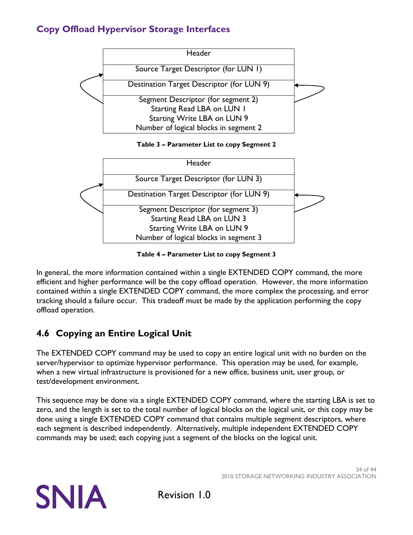

#### **Table 3 – Parameter List to copy Segment 2**

<span id="page-33-3"></span><span id="page-33-1"></span>

**Table 4 – Parameter List to copy Segment 3**

<span id="page-33-4"></span><span id="page-33-2"></span>In general, the more information contained within a single EXTENDED COPY command, the more efficient and higher performance will be the copy offload operation. However, the more information contained within a single EXTENDED COPY command, the more complex the processing, and error tracking should a failure occur. This tradeoff must be made by the application performing the copy offload operation.

## <span id="page-33-0"></span>**4.6 Copying an Entire Logical Unit**

The EXTENDED COPY command may be used to copy an entire logical unit with no burden on the server/hypervisor to optimize hypervisor performance. This operation may be used, for example, when a new virtual infrastructure is provisioned for a new office, business unit, user group, or test/development environment.

This sequence may be done via a single EXTENDED COPY command, where the starting LBA is set to zero, and the length is set to the total number of logical blocks on the logical unit, or this copy may be done using a single EXTENDED COPY command that contains multiple segment descriptors, where each segment is described independently. Alternatively, multiple independent EXTENDED COPY commands may be used; each copying just a segment of the blocks on the logical unit.

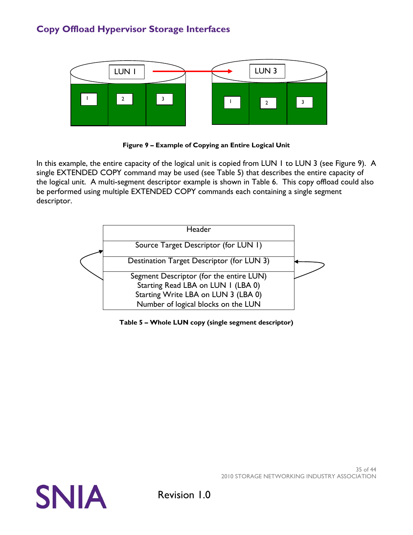

**Figure 9 – Example of Copying an Entire Logical Unit**

<span id="page-34-1"></span>In this example, the entire capacity of the logical unit is copied from LUN 1 to LUN 3 (see [Figure 9\)](#page-34-1). A single EXTENDED COPY command may be used (see [Table 5\)](#page-34-0) that describes the entire capacity of the logical unit. A multi-segment descriptor example is shown in [Table 6.](#page-35-1) This copy offload could also be performed using multiple EXTENDED COPY commands each containing a single segment descriptor.



<span id="page-34-0"></span>**Table 5 – Whole LUN copy (single segment descriptor)**

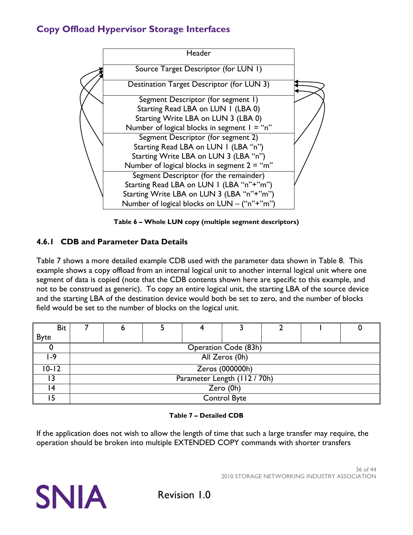

**Table 6 – Whole LUN copy (multiple segment descriptors)**

### <span id="page-35-1"></span><span id="page-35-0"></span>**4.6.1 CDB and Parameter Data Details**

[Table 7](#page-35-2) shows a more detailed example CDB used with the parameter data shown in [Table 8.](#page-36-1) This example shows a copy offload from an internal logical unit to another internal logical unit where one segment of data is copied (note that the CDB contents shown here are specific to this example, and not to be construed as generic). To copy an entire logical unit, the starting LBA of the source device and the starting LBA of the destination device would both be set to zero, and the number of blocks field would be set to the number of blocks on the logical unit.

| <b>Bit</b>  |  |                              |                             |  |  |
|-------------|--|------------------------------|-----------------------------|--|--|
| <b>Byte</b> |  |                              |                             |  |  |
|             |  |                              | <b>Operation Code (83h)</b> |  |  |
| $ -9$       |  |                              | All Zeros (0h)              |  |  |
| 10-12       |  |                              | Zeros (000000h)             |  |  |
|             |  | Parameter Length (112 / 70h) |                             |  |  |
| 4           |  |                              | Zero (0h)                   |  |  |
|             |  |                              | <b>Control Byte</b>         |  |  |

#### **Table 7 – Detailed CDB**

<span id="page-35-2"></span>If the application does not wish to allow the length of time that such a large transfer may require, the operation should be broken into multiple EXTENDED COPY commands with shorter transfers

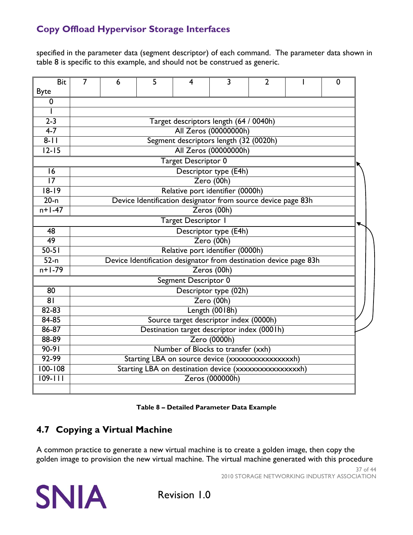specified in the parameter data (segment descriptor) of each command. The parameter data shown in table 8 is specific to this example, and should not be construed as generic.

| <b>Bit</b>                 | $\overline{7}$                                   | 6 | 5 | 4                                      | 3                     | $\overline{2}$                                                    |  | 0 |  |  |
|----------------------------|--------------------------------------------------|---|---|----------------------------------------|-----------------------|-------------------------------------------------------------------|--|---|--|--|
| <b>Byte</b>                |                                                  |   |   |                                        |                       |                                                                   |  |   |  |  |
| $\mathbf 0$                |                                                  |   |   |                                        |                       |                                                                   |  |   |  |  |
|                            |                                                  |   |   |                                        |                       |                                                                   |  |   |  |  |
| $2 - 3$                    | Target descriptors length (64 / 0040h)           |   |   |                                        |                       |                                                                   |  |   |  |  |
| $4 - 7$                    | All Zeros (00000000h)                            |   |   |                                        |                       |                                                                   |  |   |  |  |
| $8 - 11$                   | Segment descriptors length (32 (0020h)           |   |   |                                        |                       |                                                                   |  |   |  |  |
| $12 - 15$                  |                                                  |   |   |                                        | All Zeros (00000000h) |                                                                   |  |   |  |  |
|                            |                                                  |   |   | Target Descriptor 0                    |                       |                                                                   |  |   |  |  |
| 16                         |                                                  |   |   |                                        | Descriptor type (E4h) |                                                                   |  |   |  |  |
| $\overline{17}$            | Zero (00h)                                       |   |   |                                        |                       |                                                                   |  |   |  |  |
| $18 - 19$                  | Relative port identifier (0000h)                 |   |   |                                        |                       |                                                                   |  |   |  |  |
| $20-n$                     |                                                  |   |   |                                        |                       | Device Identification designator from source device page 83h      |  |   |  |  |
| $n+1-47$                   |                                                  |   |   |                                        | Zeros (00h)           |                                                                   |  |   |  |  |
|                            |                                                  |   |   | Target Descriptor I                    |                       |                                                                   |  |   |  |  |
| 48                         |                                                  |   |   |                                        | Descriptor type (E4h) |                                                                   |  |   |  |  |
| 49                         |                                                  |   |   |                                        | Zero (00h)            |                                                                   |  |   |  |  |
| $50-51$                    |                                                  |   |   | Relative port identifier (0000h)       |                       |                                                                   |  |   |  |  |
| $52-n$                     |                                                  |   |   |                                        |                       | Device Identification designator from destination device page 83h |  |   |  |  |
| $n+1-79$                   |                                                  |   |   |                                        | Zeros (00h)           |                                                                   |  |   |  |  |
|                            |                                                  |   |   | Segment Descriptor 0                   |                       |                                                                   |  |   |  |  |
| $\overline{80}$            |                                                  |   |   |                                        | Descriptor type (02h) |                                                                   |  |   |  |  |
| 81                         |                                                  |   |   |                                        | Zero (00h)            |                                                                   |  |   |  |  |
| $82 - 83$                  | Length (0018h)                                   |   |   |                                        |                       |                                                                   |  |   |  |  |
| $84 - 85$                  |                                                  |   |   | Source target descriptor index (0000h) |                       |                                                                   |  |   |  |  |
| 86-87                      |                                                  |   |   |                                        |                       | Destination target descriptor index (0001h)                       |  |   |  |  |
| 88-89                      |                                                  |   |   |                                        | Zero (0000h)          |                                                                   |  |   |  |  |
| $90-91$                    |                                                  |   |   | Number of Blocks to transfer (xxh)     |                       |                                                                   |  |   |  |  |
| 92-99                      | Starting LBA on source device (xxxxxxxxxxxxxxxx) |   |   |                                        |                       |                                                                   |  |   |  |  |
| $100 - 108$<br>$109 - 111$ |                                                  |   |   |                                        |                       | Starting LBA on destination device (xxxxxxxxxxxxxxxx)             |  |   |  |  |
|                            |                                                  |   |   |                                        | Zeros (000000h)       |                                                                   |  |   |  |  |

**Table 8 – Detailed Parameter Data Example**

## <span id="page-36-1"></span><span id="page-36-0"></span>**4.7 Copying a Virtual Machine**

A common practice to generate a new virtual machine is to create a golden image, then copy the golden image to provision the new virtual machine. The virtual machine generated with this procedure

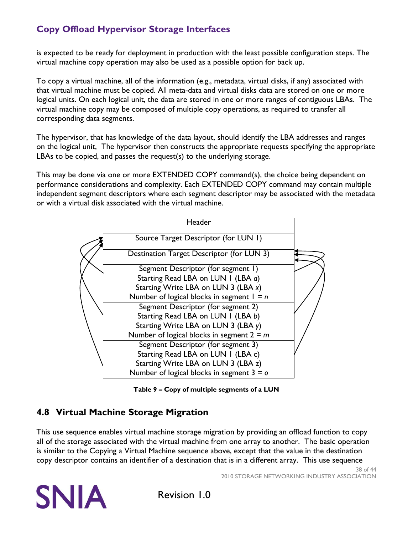is expected to be ready for deployment in production with the least possible configuration steps. The virtual machine copy operation may also be used as a possible option for back up.

To copy a virtual machine, all of the information (e.g., metadata, virtual disks, if any) associated with that virtual machine must be copied. All meta-data and virtual disks data are stored on one or more logical units. On each logical unit, the data are stored in one or more ranges of contiguous LBAs. The virtual machine copy may be composed of multiple copy operations, as required to transfer all corresponding data segments.

The hypervisor, that has knowledge of the data layout, should identify the LBA addresses and ranges on the logical unit, The hypervisor then constructs the appropriate requests specifying the appropriate LBAs to be copied, and passes the request(s) to the underlying storage.

This may be done via one or more EXTENDED COPY command(s), the choice being dependent on performance considerations and complexity. Each EXTENDED COPY command may contain multiple independent segment descriptors where each segment descriptor may be associated with the metadata or with a virtual disk associated with the virtual machine.



**Table 9 – Copy of multiple segments of a LUN** 

### <span id="page-37-1"></span><span id="page-37-0"></span>**4.8 Virtual Machine Storage Migration**

This use sequence enables virtual machine storage migration by providing an offload function to copy all of the storage associated with the virtual machine from one array to another. The basic operation is similar to the Copying a Virtual Machine sequence above, except that the value in the destination copy descriptor contains an identifier of a destination that is in a different array. This use sequence

> 38 of 44 2010 STORAGE NETWORKING INDUSTRY ASSOCIATION

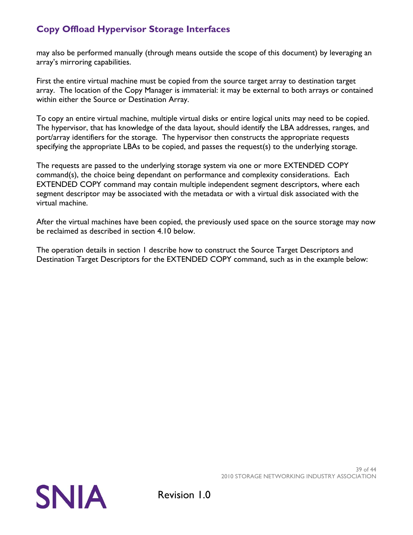may also be performed manually (through means outside the scope of this document) by leveraging an array's mirroring capabilities.

First the entire virtual machine must be copied from the source target array to destination target array. The location of the Copy Manager is immaterial: it may be external to both arrays or contained within either the Source or Destination Array.

To copy an entire virtual machine, multiple virtual disks or entire logical units may need to be copied. The hypervisor, that has knowledge of the data layout, should identify the LBA addresses, ranges, and port/array identifiers for the storage. The hypervisor then constructs the appropriate requests specifying the appropriate LBAs to be copied, and passes the request(s) to the underlying storage.

The requests are passed to the underlying storage system via one or more EXTENDED COPY command(s), the choice being dependant on performance and complexity considerations. Each EXTENDED COPY command may contain multiple independent segment descriptors, where each segment descriptor may be associated with the metadata or with a virtual disk associated with the virtual machine.

After the virtual machines have been copied, the previously used space on the source storage may now be reclaimed as described in section [4.10 below.](#page-41-0)

The operation details in section [1](#page-6-0) describe how to construct the Source Target Descriptors and Destination Target Descriptors for the EXTENDED COPY command, such as in the example below: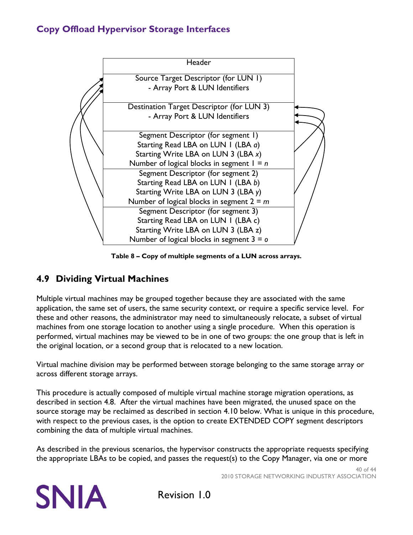

**Table 8 – Copy of multiple segments of a LUN across arrays.**

### <span id="page-39-0"></span>**4.9 Dividing Virtual Machines**

Multiple virtual machines may be grouped together because they are associated with the same application, the same set of users, the same security context, or require a specific service level. For these and other reasons, the administrator may need to simultaneously relocate, a subset of virtual machines from one storage location to another using a single procedure. When this operation is performed, virtual machines may be viewed to be in one of two groups: the one group that is left in the original location, or a second group that is relocated to a new location.

Virtual machine division may be performed between storage belonging to the same storage array or across different storage arrays.

This procedure is actually composed of multiple virtual machine storage migration operations, as described in section [4.8.](#page-37-0) After the virtual machines have been migrated, the unused space on the source storage may be reclaimed as described in section [4.10 below.](#page-41-0) What is unique in this procedure, with respect to the previous cases, is the option to create EXTENDED COPY segment descriptors combining the data of multiple virtual machines.

As described in the previous scenarios, the hypervisor constructs the appropriate requests specifying the appropriate LBAs to be copied, and passes the request(s) to the Copy Manager, via one or more

> 40 of 44 2010 STORAGE NETWORKING INDUSTRY ASSOCIATION

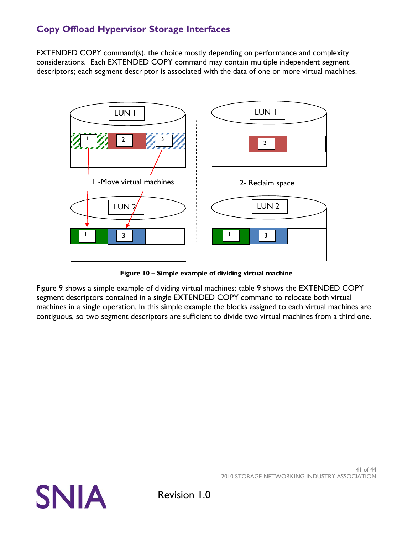EXTENDED COPY command(s), the choice mostly depending on performance and complexity considerations. Each EXTENDED COPY command may contain multiple independent segment descriptors; each segment descriptor is associated with the data of one or more virtual machines.



**Figure 10 – Simple example of dividing virtual machine**

Figure 9 shows a simple example of dividing virtual machines; table 9 shows the EXTENDED COPY segment descriptors contained in a single EXTENDED COPY command to relocate both virtual machines in a single operation. In this simple example the blocks assigned to each virtual machines are contiguous, so two segment descriptors are sufficient to divide two virtual machines from a third one.

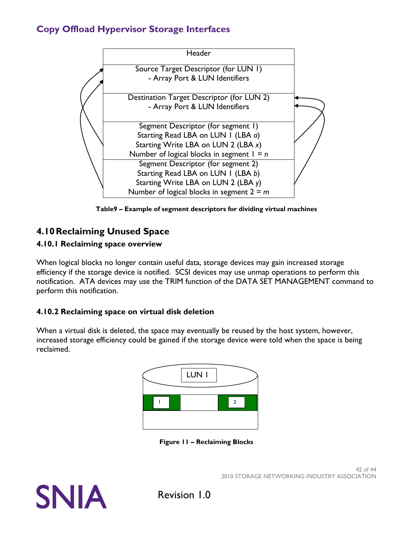

**Table9 – Example of segment descriptors for dividing virtual machines**

# <span id="page-41-0"></span>**4.10Reclaiming Unused Space**

### <span id="page-41-1"></span>**4.10.1 Reclaiming space overview**

When logical blocks no longer contain useful data, storage devices may gain increased storage efficiency if the storage device is notified. SCSI devices may use unmap operations to perform this notification. ATA devices may use the TRIM function of the DATA SET MANAGEMENT command to perform this notification.

### <span id="page-41-2"></span>**4.10.2 Reclaiming space on virtual disk deletion**

When a virtual disk is deleted, the space may eventually be reused by the host system, however, increased storage efficiency could be gained if the storage device were told when the space is being reclaimed.



**Figure 11 – Reclaiming Blocks**

<span id="page-41-3"></span>

42 of 44 2010 STORAGE NETWORKING INDUSTRY ASSOCIATION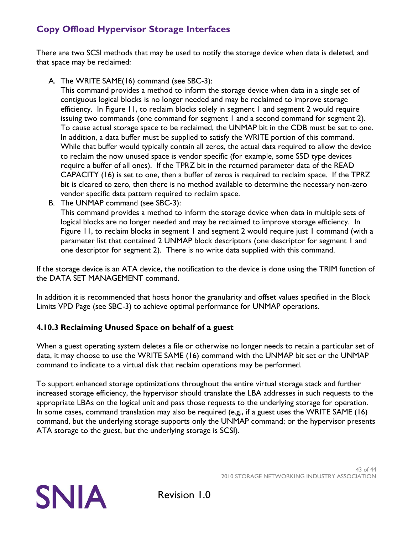There are two SCSI methods that may be used to notify the storage device when data is deleted, and that space may be reclaimed:

A. The WRITE SAME(16) command (see SBC-3):

This command provides a method to inform the storage device when data in a single set of contiguous logical blocks is no longer needed and may be reclaimed to improve storage efficiency. In [Figure 11,](#page-41-3) to reclaim blocks solely in segment 1 and segment 2 would require issuing two commands (one command for segment 1 and a second command for segment 2). To cause actual storage space to be reclaimed, the UNMAP bit in the CDB must be set to one. In addition, a data buffer must be supplied to satisfy the WRITE portion of this command. While that buffer would typically contain all zeros, the actual data required to allow the device to reclaim the now unused space is vendor specific (for example, some SSD type devices require a buffer of all ones). If the TPRZ bit in the returned parameter data of the READ CAPACITY (16) is set to one, then a buffer of zeros is required to reclaim space. If the TPRZ bit is cleared to zero, then there is no method available to determine the necessary non-zero vendor specific data pattern required to reclaim space.

B. The UNMAP command (see SBC-3):

This command provides a method to inform the storage device when data in multiple sets of logical blocks are no longer needed and may be reclaimed to improve storage efficiency. In [Figure 11,](#page-41-3) to reclaim blocks in segment 1 and segment 2 would require just 1 command (with a parameter list that contained 2 UNMAP block descriptors (one descriptor for segment 1 and one descriptor for segment 2). There is no write data supplied with this command.

If the storage device is an ATA device, the notification to the device is done using the TRIM function of the DATA SET MANAGEMENT command.

In addition it is recommended that hosts honor the granularity and offset values specified in the Block Limits VPD Page (see SBC-3) to achieve optimal performance for UNMAP operations.

### <span id="page-42-0"></span>**4.10.3 Reclaiming Unused Space on behalf of a guest**

When a guest operating system deletes a file or otherwise no longer needs to retain a particular set of data, it may choose to use the WRITE SAME (16) command with the UNMAP bit set or the UNMAP command to indicate to a virtual disk that reclaim operations may be performed.

To support enhanced storage optimizations throughout the entire virtual storage stack and further increased storage efficiency, the hypervisor should translate the LBA addresses in such requests to the appropriate LBAs on the logical unit and pass those requests to the underlying storage for operation. In some cases, command translation may also be required (e.g., if a guest uses the WRITE SAME (16) command, but the underlying storage supports only the UNMAP command; or the hypervisor presents ATA storage to the guest, but the underlying storage is SCSI).